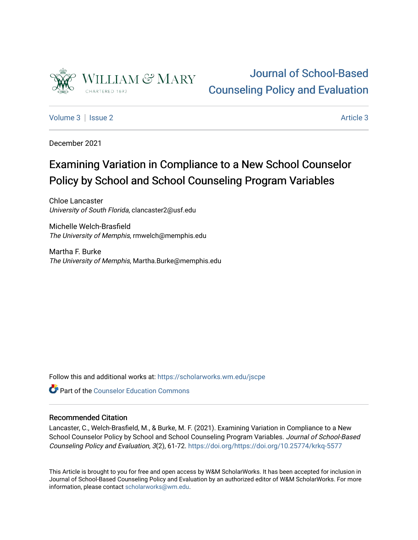

## [Journal of School-Based](https://scholarworks.wm.edu/jscpe)  [Counseling Policy and Evaluation](https://scholarworks.wm.edu/jscpe)

[Volume 3](https://scholarworks.wm.edu/jscpe/vol3) | [Issue 2](https://scholarworks.wm.edu/jscpe/vol3/iss2) [Article 3](https://scholarworks.wm.edu/jscpe/vol3/iss2/3) Article 3 Article 3 Article 3 Article 3 Article 3 Article 3 Article 3 Article 3 Article 3 Article 3 Article 3 Article 3 Article 3 Article 3 Article 3 Article 3 Article 3 Article 3 Article 3 Art

December 2021

# Examining Variation in Compliance to a New School Counselor Policy by School and School Counseling Program Variables

Chloe Lancaster University of South Florida, clancaster2@usf.edu

Michelle Welch-Brasfield The University of Memphis, rmwelch@memphis.edu

Martha F. Burke The University of Memphis, Martha.Burke@memphis.edu

Follow this and additional works at: [https://scholarworks.wm.edu/jscpe](https://scholarworks.wm.edu/jscpe?utm_source=scholarworks.wm.edu%2Fjscpe%2Fvol3%2Fiss2%2F3&utm_medium=PDF&utm_campaign=PDFCoverPages) 

**C**<sup> $\bullet$ </sup> Part of the Counselor Education Commons

## Recommended Citation

Lancaster, C., Welch-Brasfield, M., & Burke, M. F. (2021). Examining Variation in Compliance to a New School Counselor Policy by School and School Counseling Program Variables. Journal of School-Based Counseling Policy and Evaluation, 3(2), 61-72. <https://doi.org/https://doi.org/10.25774/krkq-5577>

This Article is brought to you for free and open access by W&M ScholarWorks. It has been accepted for inclusion in Journal of School-Based Counseling Policy and Evaluation by an authorized editor of W&M ScholarWorks. For more information, please contact [scholarworks@wm.edu](mailto:scholarworks@wm.edu).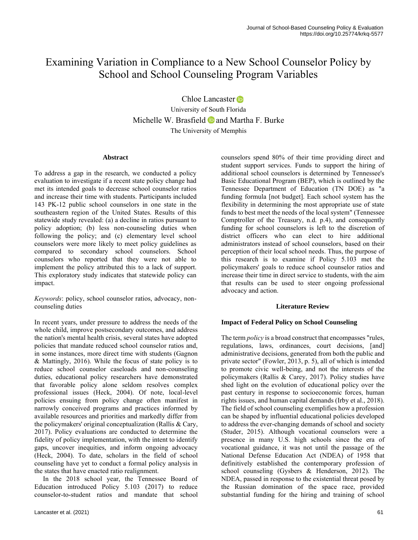## Examining Variation in Compliance to a New School Counselor Policy by School and School Counseling Program Variables

Chloe Lancaster **D** 

University of South Florida MichelleW. Brasfield  $\bullet$  and Martha F. Burke The University of Memphis

## **Abstract**

To address a gap in the research, we conducted a policy evaluation to investigate if a recent state policy change had met its intended goals to decrease school counselor ratios and increase their time with students. Participants included 143 PK-12 public school counselors in one state in the southeastern region of the United States. Results of this statewide study revealed: (a) a decline in ratios pursuant to policy adoption; (b) less non-counseling duties when following the policy; and (c) elementary level school counselors were more likely to meet policy guidelines as compared to secondary school counselors. School counselors who reported that they were not able to implement the policy attributed this to a lack of support. This exploratory study indicates that statewide policy can impact.

*Keywords*: policy, school counselor ratios, advocacy, noncounseling duties

In recent years, under pressure to address the needs of the whole child, improve postsecondary outcomes, and address the nation's mental health crisis, several states have adopted policies that mandate reduced school counselor ratios and, in some instances, more direct time with students (Gagnon & Mattingly, 2016). While the focus of state policy is to reduce school counselor caseloads and non-counseling duties, educational policy researchers have demonstrated that favorable policy alone seldom resolves complex professional issues (Heck, 2004). Of note, local-level policies ensuing from policy change often manifest in narrowly conceived programs and practices informed by available resources and priorities and markedly differ from the policymakers' original conceptualization (Rallis & Cary, 2017). Policy evaluations are conducted to determine the fidelity of policy implementation, with the intent to identify gaps, uncover inequities, and inform ongoing advocacy (Heck, 2004). To date, scholars in the field of school counseling have yet to conduct a formal policy analysis in the states that have enacted ratio realignment.

 In the 2018 school year, the Tennessee Board of Education introduced Policy 5.103 (2017) to reduce counselor-to-student ratios and mandate that school counselors spend 80% of their time providing direct and student support services. Funds to support the hiring of additional school counselors is determined by Tennessee's Basic Educational Program (BEP), which is outlined by the Tennessee Department of Education (TN DOE) as "a funding formula [not budget]. Each school system has the flexibility in determining the most appropriate use of state funds to best meet the needs of the local system" (Tennessee Comptroller of the Treasury, n.d. p.4), and consequently funding for school counselors is left to the discretion of district officers who can elect to hire additional administrators instead of school counselors, based on their perception of their local school needs. Thus, the purpose of this research is to examine if Policy 5.103 met the policymakers' goals to reduce school counselor ratios and increase their time in direct service to students, with the aim that results can be used to steer ongoing professional advocacy and action.

## **Literature Review**

## **Impact of Federal Policy on School Counseling**

The term *policy* is a broad construct that encompasses "rules, regulations, laws, ordinances, court decisions, [and] administrative decisions, generated from both the public and private sector" (Fowler, 2013, p. 5), all of which is intended to promote civic well-being, and not the interests of the policymakers (Rallis & Carey, 2017). Policy studies have shed light on the evolution of educational policy over the past century in response to socioeconomic forces, human rights issues, and human capital demands (Irby et al., 2018). The field of school counseling exemplifies how a profession can be shaped by influential educational policies developed to address the ever-changing demands of school and society (Studer, 2015). Although vocational counselors were a presence in many U.S. high schools since the era of vocational guidance, it was not until the passage of the National Defense Education Act (NDEA) of 1958 that definitively established the contemporary profession of school counseling (Gysbers & Henderson, 2012). The NDEA, passed in response to the existential threat posed by the Russian domination of the space race, provided substantial funding for the hiring and training of school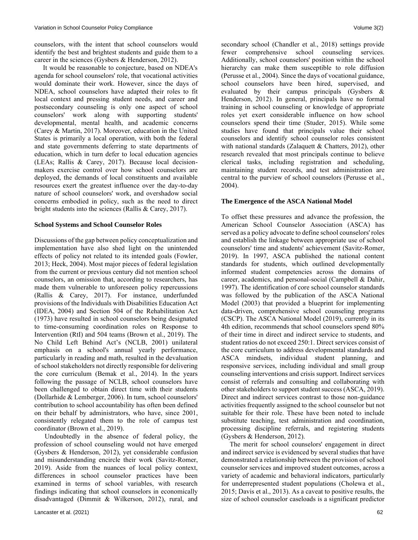counselors, with the intent that school counselors would identify the best and brightest students and guide them to a career in the sciences (Gysbers & Henderson, 2012).

 It would be reasonable to conjecture, based on NDEA's agenda for school counselors' role, that vocational activities would dominate their work. However, since the days of NDEA, school counselors have adapted their roles to fit local context and pressing student needs, and career and postsecondary counseling is only one aspect of school counselors' work along with supporting students' developmental, mental health, and academic concerns (Carey & Martin, 2017). Moreover, education in the United States is primarily a local operation, with both the federal and state governments deferring to state departments of education, which in turn defer to local education agencies (LEAs; Rallis & Carey, 2017). Because local decisionmakers exercise control over how school counselors are deployed, the demands of local constituents and available resources exert the greatest influence over the day-to-day nature of school counselors' work, and overshadow social concerns embodied in policy, such as the need to direct bright students into the sciences (Rallis & Carey, 2017).

## **School Systems and School Counselor Roles**

Discussions of the gap between policy conceptualization and implementation have also shed light on the unintended effects of policy not related to its intended goals (Fowler, 2013; Heck, 2004). Most major pieces of federal legislation from the current or previous century did not mention school counselors, an omission that, according to researchers, has made them vulnerable to unforeseen policy repercussions (Rallis & Carey, 2017). For instance, underfunded provisions of the Individuals with Disabilities Education Act (IDEA, 2004) and Section 504 of the Rehabilitation Act (1973) have resulted in school counselors being designated to time-consuming coordination roles on Response to Intervention (RtI) and 504 teams (Brown et al., 2019). The No Child Left Behind Act's (NCLB, 2001) unilateral emphasis on a school's annual yearly performance, particularly in reading and math, resulted in the devaluation of school stakeholders not directly responsible for delivering the core curriculum (Bemak et al., 2014). In the years following the passage of NCLB, school counselors have been challenged to obtain direct time with their students (Dollarhide & Lemberger, 2006). In turn, school counselors' contribution to school accountability has often been defined on their behalf by administrators, who have, since 2001, consistently relegated them to the role of campus test coordinator (Brown et al., 2019).

 Undoubtedly in the absence of federal policy, the profession of school counseling would not have emerged (Gysbers & Henderson, 2012), yet considerable confusion and misunderstanding encircle their work (Savitz-Romer, 2019). Aside from the nuances of local policy context, differences in school counselor practices have been examined in terms of school variables, with research findings indicating that school counselors in economically disadvantaged (Dimmit & Wilkerson, 2012), rural, and secondary school (Chandler et al., 2018) settings provide fewer comprehensive school counseling services. Additionally, school counselors' position within the school hierarchy can make them susceptible to role diffusion (Perusse et al., 2004). Since the days of vocational guidance, school counselors have been hired, supervised, and evaluated by their campus principals (Gysbers & Henderson, 2012). In general, principals have no formal training in school counseling or knowledge of appropriate roles yet exert considerable influence on how school counselors spend their time (Studer, 2015). While some studies have found that principals value their school counselors and identify school counselor roles consistent with national standards (Zalaquett & Chatters, 2012), other research revealed that most principals continue to believe clerical tasks, including registration and scheduling, maintaining student records, and test administration are central to the purview of school counselors (Perusse et al., 2004).

## **The Emergence of the ASCA National Model**

To offset these pressures and advance the profession, the American School Counselor Association (ASCA) has served as a policy advocate to define school counselors' roles and establish the linkage between appropriate use of school counselors' time and students' achievement (Savitz-Romer, 2019). In 1997, ASCA published the national content standards for students, which outlined developmentally informed student competencies across the domains of career, academics, and personal-social (Campbell & Dahir, 1997). The identification of core school counselor standards was followed by the publication of the ASCA National Model (2003) that provided a blueprint for implementing data-driven, comprehensive school counseling programs (CSCP). The ASCA National Model (2019), currently in its 4th edition, recommends that school counselors spend 80% of their time in direct and indirect service to students, and student ratios do not exceed 250:1. Direct services consist of the core curriculum to address developmental standards and ASCA mindsets, individual student planning, and responsive services, including individual and small group counseling interventions and crisis support. Indirect services consist of referrals and consulting and collaborating with other stakeholders to support student success (ASCA, 2019). Direct and indirect services contrast to those non-guidance activities frequently assigned to the school counselor but not suitable for their role. These have been noted to include substitute teaching, test administration and coordination, processing discipline referrals, and registering students (Gysbers & Henderson, 2012).

 The merit for school counselors' engagement in direct and indirect service is evidenced by several studies that have demonstrated a relationship between the provision of school counselor services and improved student outcomes, across a variety of academic and behavioral indicators, particularly for underrepresented student populations (Cholewa et al., 2015; Davis et al., 2013). As a caveat to positive results, the size of school counselor caseloads is a significant predictor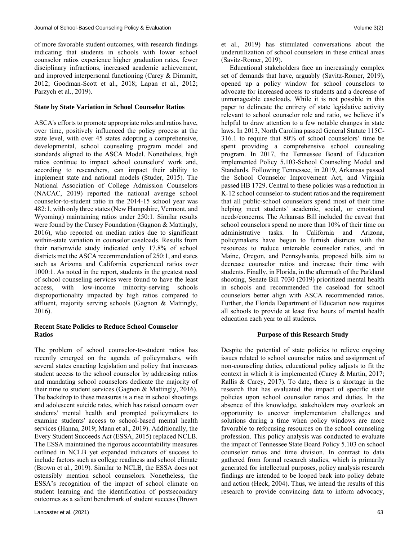of more favorable student outcomes, with research findings indicating that students in schools with lower school counselor ratios experience higher graduation rates, fewer disciplinary infractions, increased academic achievement, and improved interpersonal functioning (Carey & Dimmitt, 2012; Goodman-Scott et al., 2018; Lapan et al., 2012; Parzych et al., 2019).

## **State by State Variation in School Counselor Ratios**

ASCA's efforts to promote appropriate roles and ratios have, over time, positively influenced the policy process at the state level, with over 45 states adopting a comprehensive, developmental, school counseling program model and standards aligned to the ASCA Model. Nonetheless, high ratios continue to impact school counselors' work and, according to researchers, can impact their ability to implement state and national models (Studer, 2015). The National Association of College Admission Counselors (NACAC, 2019) reported the national average school counselor-to-student ratio in the 2014-15 school year was 482:1, with only three states (New Hampshire, Vermont, and Wyoming) maintaining ratios under 250:1. Similar results were found by the Carsey Foundation (Gagnon & Mattingly, 2016), who reported on median ratios due to significant within-state variation in counselor caseloads. Results from their nationwide study indicated only 17.8% of school districts met the ASCA recommendation of 250:1, and states such as Arizona and California experienced ratios over 1000:1. As noted in the report, students in the greatest need of school counseling services were found to have the least access, with low-income minority-serving schools disproportionality impacted by high ratios compared to affluent, majority serving schools (Gagnon & Mattingly, 2016).

## **Recent State Policies to Reduce School Counselor Ratios**

The problem of school counselor-to-student ratios has recently emerged on the agenda of policymakers, with several states enacting legislation and policy that increases student access to the school counselor by addressing ratios and mandating school counselors dedicate the majority of their time to student services (Gagnon & Mattingly, 2016). The backdrop to these measures is a rise in school shootings and adolescent suicide rates, which has raised concern over students' mental health and prompted policymakers to examine students' access to school-based mental health services (Hanna, 2019; Mann et al., 2019). Additionally, the Every Student Succeeds Act (ESSA, 2015) replaced NCLB. The ESSA maintained the rigorous accountability measures outlined in NCLB yet expanded indicators of success to include factors such as college readiness and school climate (Brown et al., 2019). Similar to NCLB, the ESSA does not ostensibly mention school counselors. Nonetheless, the ESSA's recognition of the impact of school climate on student learning and the identification of postsecondary outcomes as a salient benchmark of student success (Brown et al., 2019) has stimulated conversations about the underutilization of school counselors in these critical areas (Savitz-Romer, 2019).

 Educational stakeholders face an increasingly complex set of demands that have, arguably (Savitz-Romer, 2019), opened up a policy window for school counselors to advocate for increased access to students and a decrease of unmanageable caseloads. While it is not possible in this paper to delineate the entirety of state legislative activity relevant to school counselor role and ratio, we believe it's helpful to draw attention to a few notable changes in state laws. In 2013, North Carolina passed General Statute 115C-316.1 to require that 80% of school counselors' time be spent providing a comprehensive school counseling program. In 2017, the Tennessee Board of Education implemented Policy 5.103-School Counseling Model and Standards. Following Tennessee, in 2019, Arkansas passed the School Counselor Improvement Act, and Virginia passed HB 1729. Central to these policies was a reduction in K-12 school counselor-to-student ratios and the requirement that all public-school counselors spend most of their time helping meet students' academic, social, or emotional needs/concerns. The Arkansas Bill included the caveat that school counselors spend no more than 10% of their time on administrative tasks. In California and Arizona, policymakers have begun to furnish districts with the resources to reduce untenable counselor ratios, and in Maine, Oregon, and Pennsylvania, proposed bills aim to decrease counselor ratios and increase their time with students. Finally, in Florida, in the aftermath of the Parkland shooting, Senate Bill 7030 (2019) prioritized mental health in schools and recommended the caseload for school counselors better align with ASCA recommended ratios. Further, the Florida Department of Education now requires all schools to provide at least five hours of mental health education each year to all students.

## **Purpose of this Research Study**

Despite the potential of state policies to relieve ongoing issues related to school counselor ratios and assignment of non-counseling duties, educational policy adjusts to fit the context in which it is implemented (Carey & Martin, 2017; Rallis & Carey, 2017). To date, there is a shortage in the research that has evaluated the impact of specific state policies upon school counselor ratios and duties. In the absence of this knowledge, stakeholders may overlook an opportunity to uncover implementation challenges and solutions during a time when policy windows are more favorable to refocusing resources on the school counseling profession. This policy analysis was conducted to evaluate the impact of Tennessee State Board Policy 5.103 on school counselor ratios and time division. In contrast to data gathered from formal research studies, which is primarily generated for intellectual purposes, policy analysis research findings are intended to be looped back into policy debate and action (Heck, 2004). Thus, we intend the results of this research to provide convincing data to inform advocacy,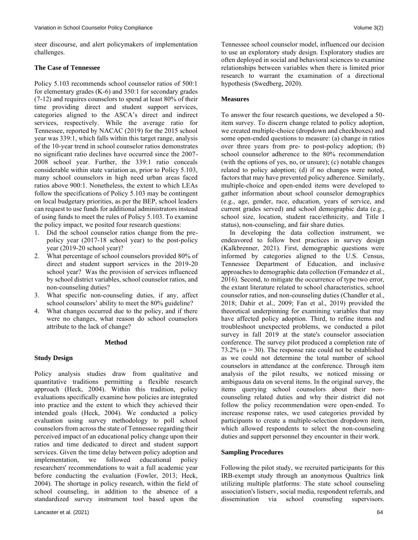steer discourse, and alert policymakers of implementation challenges.

## **The Case of Tennessee**

Policy 5.103 recommends school counselor ratios of 500:1 for elementary grades (K-6) and 350:1 for secondary grades (7-12) and requires counselors to spend at least 80% of their time providing direct and student support services, categories aligned to the ASCA's direct and indirect services, respectively. While the average ratio for Tennessee, reported by NACAC (2019) for the 2015 school year was 339:1, which falls within this target range, analysis of the 10-year trend in school counselor ratios demonstrates no significant ratio declines have occurred since the 2007- 2008 school year. Further, the 339:1 ratio conceals considerable within state variation as, prior to Policy 5.103, many school counselors in high need urban areas faced ratios above 900:1. Nonetheless, the extent to which LEAs follow the specifications of Policy 5.103 may be contingent on local budgetary priorities, as per the BEP, school leaders can request to use funds for additional administrators instead of using funds to meet the rules of Policy 5.103. To examine the policy impact, we posited four research questions:

- 1. Did the school counselor ratios change from the prepolicy year (2017-18 school year) to the post-policy year (2019-20 school year)?
- 2. What percentage of school counselors provided 80% of direct and student support services in the 2019-20 school year? Was the provision of services influenced by school district variables, school counselor ratios, and non-counseling duties?
- 3. What specific non-counseling duties, if any, affect school counselors' ability to meet the 80% guideline?
- 4. What changes occurred due to the policy, and if there were no changes, what reason do school counselors attribute to the lack of change?

## **Method**

## **Study Design**

Policy analysis studies draw from qualitative and quantitative traditions permitting a flexible research approach (Heck, 2004). Within this tradition, policy evaluations specifically examine how policies are integrated into practice and the extent to which they achieved their intended goals (Heck, 2004). We conducted a policy evaluation using survey methodology to poll school counselors from across the state of Tennessee regarding their perceived impact of an educational policy change upon their ratios and time dedicated to direct and student support services. Given the time delay between policy adoption and implementation, we followed educational policy researchers' recommendations to wait a full academic year before conducting the evaluation (Fowler, 2013; Heck, 2004). The shortage in policy research, within the field of school counseling, in addition to the absence of a standardized survey instrument tool based upon the

Tennessee school counselor model, influenced our decision to use an exploratory study design. Exploratory studies are often deployed in social and behavioral sciences to examine relationships between variables when there is limited prior research to warrant the examination of a directional hypothesis (Swedberg, 2020).

## **Measures**

To answer the four research questions, we developed a 50 item survey. To discern change related to policy adoption, we created multiple-choice (dropdown and checkboxes) and some open-ended questions to measure: (a) change in ratios over three years from pre- to post-policy adoption; (b) school counselor adherence to the 80% recommendation (with the options of yes, no, or unsure); (c) notable changes related to policy adoption; (d) if no changes were noted, factors that may have prevented policy adherence. Similarly, multiple-choice and open-ended items were developed to gather information about school counselor demographics (e.g., age, gender, race, education, years of service, and current grades served) and school demographic data (e.g., school size, location, student race/ethnicity, and Title I status), non-counseling, and fair share duties.

 In developing the data collection instrument, we endeavored to follow best practices in survey design (Kalkbrenner, 2021). First, demographic questions were informed by categories aligned to the U.S. Census, Tennessee Department of Education, and inclusive approaches to demographic data collection (Fernandez et al., 2016). Second, to mitigate the occurrence of type two error, the extant literature related to school characteristics, school counselor ratios, and non-counseling duties (Chandler et al., 2018; Dahir et al., 2009; Fan et al., 2019) provided the theoretical underpinning for examining variables that may have affected policy adoption. Third, to refine items and troubleshoot unexpected problems, we conducted a pilot survey in fall 2019 at the state's counselor association conference. The survey pilot produced a completion rate of 73.2% ( $n = 30$ ). The response rate could not be established as we could not determine the total number of school counselors in attendance at the conference. Through item analysis of the pilot results, we noticed missing or ambiguous data on several items. In the original survey, the items querying school counselors about their noncounseling related duties and why their district did not follow the policy recommendation were open-ended. To increase response rates, we used categories provided by participants to create a multiple-selection dropdown item, which allowed respondents to select the non-counseling duties and support personnel they encounter in their work.

## **Sampling Procedures**

Following the pilot study, we recruited participants for this IRB-exempt study through an anonymous Qualtrics link utilizing multiple platforms: The state school counseling association's listserv, social media, respondent referrals, and dissemination via school counseling supervisors.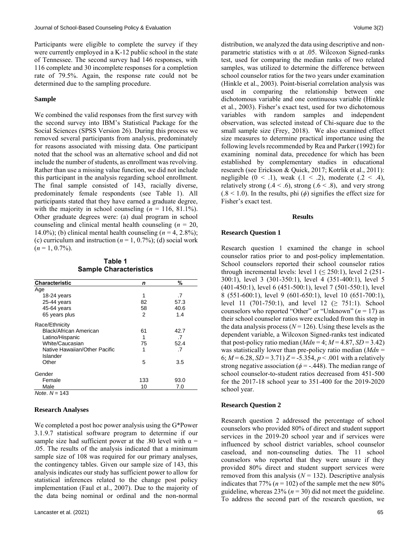Participants were eligible to complete the survey if they were currently employed in a K-12 public school in the state of Tennessee. The second survey had 146 responses, with 116 complete and 30 incomplete responses for a completion rate of 79.5%. Again, the response rate could not be determined due to the sampling procedure.

#### **Sample**

We combined the valid responses from the first survey with the second survey into IBM's Statistical Package for the Social Sciences (SPSS Version 26). During this process we removed several participants from analysis, predominately for reasons associated with missing data. One participant noted that the school was an alternative school and did not include the number of students, as enrollment was revolving. Rather than use a missing value function, we did not include this participant in the analysis regarding school enrollment. The final sample consisted of 143, racially diverse, predominately female respondents (see Table 1). All participants stated that they have earned a graduate degree, with the majority in school counseling  $(n = 116, 81.1\%)$ . Other graduate degrees were: (a) dual program in school counseling and clinical mental health counseling (*n* = 20, 14.0%); (b) clinical mental health counseling  $(n = 4, 2.8\%)$ ; (c) curriculum and instruction  $(n = 1, 0.7\%)$ ; (d) social work  $(n = 1, 0.7\%)$ .

**Table 1 Sample Characteristics**

| <b>Characteristic</b>         | n   | %    |
|-------------------------------|-----|------|
| Age                           |     |      |
| $18-24$ years                 | 1   | .7   |
| 25-44 years                   | 82  | 57.3 |
| 45-64 years                   | 58  | 40.6 |
| 65 years plus                 | 2   | 1.4  |
| Race/Ethnicity                |     |      |
| Black/African American        | 61  | 42.7 |
| Latino/Hispanic               | 1   | .7   |
| White/Caucasian               | 75  | 52.4 |
| Native Hawaiian/Other Pacific | 1   | .7   |
| Islander                      |     |      |
| Other                         | 5   | 3.5  |
| Gender                        |     |      |
| Female                        | 133 | 93.0 |
| Male                          | 10  | 7.0  |
| Note, $N = 143$               |     |      |

#### **Research Analyses**

We completed a post hoc power analysis using the G\*Power 3.1.9.7 statistical software program to determine if our sample size had sufficient power at the .80 level with  $\alpha$  = .05. The results of the analysis indicated that a minimum sample size of 108 was required for our primary analyses, the contingency tables. Given our sample size of 143, this analysis indicates our study has sufficient power to allow for statistical inferences related to the change post policy implementation (Faul et al., 2007). Due to the majority of the data being nominal or ordinal and the non-normal distribution, we analyzed the data using descriptive and nonparametric statistics with  $\alpha$  at .05. Wilcoxon Signed-ranks test, used for comparing the median ranks of two related samples, was utilized to determine the difference between school counselor ratios for the two years under examination (Hinkle et al., 2003). Point-biserial correlation analysis was used in comparing the relationship between one dichotomous variable and one continuous variable (Hinkle et al., 2003). Fisher's exact test, used for two dichotomous variables with random samples and independent observation, was selected instead of Chi-square due to the small sample size (Frey, 2018). We also examined effect size measures to determine practical importance using the following levels recommended by Rea and Parker (1992) for examining nominal data, precedence for which has been established by complementary studies in educational research (see Erickson & Quick, 2017; Kotrlik et al., 2011): negligible  $(0 \leq .1)$ , weak  $(0 \leq .2)$ , moderate  $(0 \leq .4)$ , relatively strong  $(0.4 \le 0.6)$ , strong  $(0.6 \le 0.8)$ , and very strong  $(0.8 < 1.0)$ . In the results, phi  $(\phi)$  signifies the effect size for Fisher's exact test.

#### **Results**

#### **Research Question 1**

Research question 1 examined the change in school counselor ratios prior to and post-policy implementation. School counselors reported their school counselor ratios through incremental levels: level  $1 \le 250:1$ ), level  $2(251-$ 300:1), level 3 (301-350:1), level 4 (351-400:1), level 5 (401-450:1), level 6 (451-500:1), level 7 (501-550:1), level 8 (551-600:1), level 9 (601-650:1), level 10 (651-700:1), level 11 (701-750:1), and level 12 ( $\geq$  751:1). School counselors who reported "Other" or "Unknown" (*n* = 17) as their school counselor ratios were excluded from this step in the data analysis process ( $N = 126$ ). Using these levels as the dependent variable, a Wilcoxon Signed-ranks test indicated that post-policy ratio median  $(Mdn = 4; M = 4.87, SD = 3.42)$ was statistically lower than pre-policy ratio median (*Mdn* = 6;  $M = 6.28$ ,  $SD = 3.71$   $Z = -5.354$ ,  $p < .001$  with a relatively strong negative association ( $\phi$  = -.448). The median range of school counselor-to-student ratios decreased from 451-500 for the 2017-18 school year to 351-400 for the 2019-2020 school year.

#### **Research Question 2**

Research question 2 addressed the percentage of school counselors who provided 80% of direct and student support services in the 2019-20 school year and if services were influenced by school district variables, school counselor caseload, and non-counseling duties. The 11 school counselors who reported that they were unsure if they provided 80% direct and student support services were removed from this analysis  $(N = 132)$ . Descriptive analysis indicates that 77% ( $n = 102$ ) of the sample met the new 80% guideline, whereas  $23\%$  ( $n = 30$ ) did not meet the guideline. To address the second part of the research question, we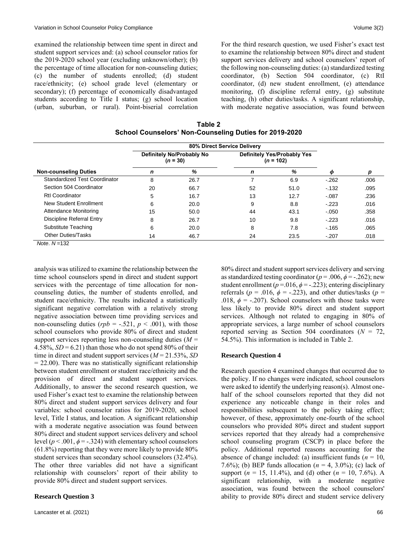examined the relationship between time spent in direct and student support services and: (a) school counselor ratios for the 2019-2020 school year (excluding unknown/other); (b) the percentage of time allocation for non-counseling duties; (c) the number of students enrolled; (d) student race/ethnicity; (e) school grade level (elementary or secondary); (f) percentage of economically disadvantaged students according to Title I status; (g) school location (urban, suburban, or rural). Point-biserial correlation For the third research question, we used Fisher's exact test to examine the relationship between 80% direct and student support services delivery and school counselors' report of the following non-counseling duties: (a) standardized testing coordinator, (b) Section 504 coordinator, (c) RtI coordinator, (d) new student enrollment, (e) attendance monitoring, (f) discipline referral entry, (g) substitute teaching, (h) other duties/tasks. A significant relationship, with moderate negative association, was found between

**Table 2 School Counselors' Non-Counseling Duties for 2019-2020**

|                               | 80% Direct Service Delivery             |      |                                            |      |         |      |
|-------------------------------|-----------------------------------------|------|--------------------------------------------|------|---------|------|
|                               | Definitely No/Probably No<br>$(n = 30)$ |      | Definitely Yes/Probably Yes<br>$(n = 102)$ |      |         |      |
| <b>Non-counseling Duties</b>  | n                                       | %    | n                                          | %    | Φ       | р    |
| Standardized Test Coordinator | 8                                       | 26.7 |                                            | 6.9  | $-262$  | .006 |
| Section 504 Coordinator       | 20                                      | 66.7 | 52                                         | 51.0 | $-132$  | .095 |
| <b>Rtl Coordinator</b>        | 5                                       | 16.7 | 13                                         | 12.7 | $-.087$ | .236 |
| New Student Enrollment        | 6                                       | 20.0 | 9                                          | 8.8  | $-223$  | .016 |
| Attendance Monitoring         | 15                                      | 50.0 | 44                                         | 43.1 | $-.050$ | .358 |
| Discipline Referral Entry     | 8                                       | 26.7 | 10                                         | 9.8  | $-223$  | .016 |
| Substitute Teaching           | 6                                       | 20.0 | 8                                          | 7.8  | $-165$  | .065 |
| <b>Other Duties/Tasks</b>     | 14                                      | 46.7 | 24                                         | 23.5 | $-.207$ | .018 |

*Note*. *N* =132

analysis was utilized to examine the relationship between the time school counselors spend in direct and student support services with the percentage of time allocation for noncounseling duties, the number of students enrolled, and student race/ethnicity. The results indicated a statistically significant negative correlation with a relatively strong negative association between time providing services and non-counseling duties ( $rpb = -.521$ ,  $p < .001$ ), with those school counselors who provide 80% of direct and student support services reporting less non-counseling duties (*M* = 4.58%,  $SD = 6.21$ ) than those who do not spend 80% of their time in direct and student support services (*M* = 21.53%, *SD*  $= 22.00$ ). There was no statistically significant relationship between student enrollment or student race/ethnicity and the provision of direct and student support services. Additionally, to answer the second research question, we used Fisher's exact test to examine the relationship between 80% direct and student support services delivery and four variables: school counselor ratios for 2019-2020, school level, Title I status, and location. A significant relationship with a moderate negative association was found between 80% direct and student support services delivery and school level ( $p < .001$ ,  $\phi = -.324$ ) with elementary school counselors (61.8%) reporting that they were more likely to provide 80% student services than secondary school counselors (32.4%). The other three variables did not have a significant relationship with counselors' report of their ability to provide 80% direct and student support services.

#### **Research Question 3**

80% direct and student support services delivery and serving as standardized testing coordinator ( $p = .006$ ,  $\phi = -.262$ ); new student enrollment ( $p = 016$ ,  $\phi = -0.223$ ); entering disciplinary referrals ( $p = .016$ ,  $\phi = -.223$ ), and other duties/tasks ( $p =$ .018,  $\phi$  = -.207). School counselors with those tasks were less likely to provide 80% direct and student support services. Although not related to engaging in 80% of appropriate services, a large number of school counselors reported serving as Section 504 coordinators (*N* = 72, 54.5%). This information is included in Table 2.

#### **Research Question 4**

Research question 4 examined changes that occurred due to the policy. If no changes were indicated, school counselors were asked to identify the underlying reason(s). Almost onehalf of the school counselors reported that they did not experience any noticeable change in their roles and responsibilities subsequent to the policy taking effect; however, of these, approximately one-fourth of the school counselors who provided 80% direct and student support services reported that they already had a comprehensive school counseling program (CSCP) in place before the policy. Additional reported reasons accounting for the absence of change included: (a) insufficient funds ( $n = 10$ , 7.6%); (b) BEP funds allocation  $(n = 4, 3.0\%)$ ; (c) lack of support (*n* = 15, 11.4%), and (d) other (*n* = 10, 7.6%). A significant relationship, with a moderate negative association, was found between the school counselors' ability to provide 80% direct and student service delivery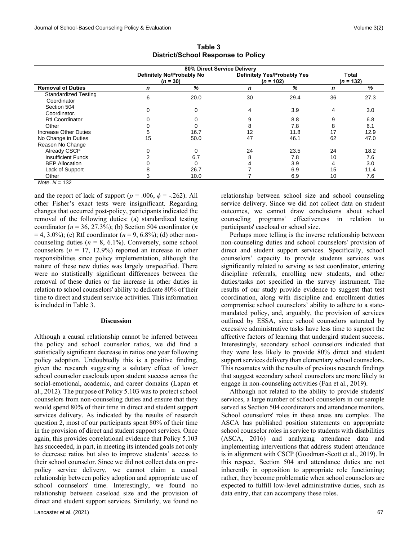|                                            | 80% Direct Service Delivery             |      |                                            |      |                      |      |
|--------------------------------------------|-----------------------------------------|------|--------------------------------------------|------|----------------------|------|
|                                            | Definitely No/Probably No<br>$(n = 30)$ |      | Definitely Yes/Probably Yes<br>$(n = 102)$ |      | Total<br>$(n = 132)$ |      |
| <b>Removal of Duties</b>                   | n                                       | %    | n                                          | %    | n                    | %    |
| <b>Standardized Testing</b><br>Coordinator | 6                                       | 20.0 | 30                                         | 29.4 | 36                   | 27.3 |
| Section 504<br>Coordinator.                |                                         | 0    | 4                                          | 3.9  | 4                    | 3.0  |
| <b>Rtl Coordinator</b>                     |                                         |      |                                            | 8.8  | 9                    | 6.8  |
| Other                                      |                                         |      | 8                                          | 7.8  | 8                    | 6.1  |
| <b>Increase Other Duties</b>               |                                         | 16.7 | 12                                         | 11.8 |                      | 12.9 |
| No Change in Duties                        | 15                                      | 50.0 | 47                                         | 46.1 | 62                   | 47.0 |
| Reason No Change                           |                                         |      |                                            |      |                      |      |
| Already CSCP                               |                                         | 0    | 24                                         | 23.5 | 24                   | 18.2 |
| <b>Insufficient Funds</b>                  |                                         | 6.7  |                                            | 7.8  | 10                   | 7.6  |
| <b>BEP Allocation</b>                      |                                         | 0    |                                            | 3.9  | 4                    | 3.0  |
| Lack of Support                            |                                         | 26.7 |                                            | 6.9  | 15                   | 11.4 |
| Other                                      |                                         | 10.0 |                                            | 6.9  | 10                   | 7.6  |

**Table 3 District/School Response to Policy**

*Note*. *N* = 132

and the report of lack of support ( $p = .006$ ,  $\phi = -.262$ ). All other Fisher's exact tests were insignificant. Regarding changes that occurred post-policy, participants indicated the removal of the following duties: (a) standardized testing coordinator  $(n = 36, 27.3\%)$ ; (b) Section 504 coordinator  $(n)$  $= 4, 3.0\%$ ; (c) RtI coordinator ( $n = 9, 6.8\%$ ); (d) other noncounseling duties  $(n = 8, 6.1\%)$ . Conversely, some school counselors  $(n = 17, 12.9\%)$  reported an increase in other responsibilities since policy implementation, although the nature of these new duties was largely unspecified. There were no statistically significant differences between the removal of these duties or the increase in other duties in relation to school counselors' ability to dedicate 80% of their time to direct and student service activities. This information is included in Table 3.

#### **Discussion**

Although a causal relationship cannot be inferred between the policy and school counselor ratios, we did find a statistically significant decrease in ratios one year following policy adoption. Undoubtedly this is a positive finding, given the research suggesting a salutary effect of lower school counselor caseloads upon student success across the social-emotional, academic, and career domains (Lapan et al., 2012). The purpose of Policy 5.103 was to protect school counselors from non-counseling duties and ensure that they would spend 80% of their time in direct and student support services delivery. As indicated by the results of research question 2, most of our participants spent 80% of their time in the provision of direct and student support services. Once again, this provides correlational evidence that Policy 5.103 has succeeded, in part, in meeting its intended goals not only to decrease ratios but also to improve students' access to their school counselor. Since we did not collect data on prepolicy service delivery, we cannot claim a causal relationship between policy adoption and appropriate use of school counselors' time. Interestingly, we found no relationship between caseload size and the provision of direct and student support services. Similarly, we found no relationship between school size and school counseling service delivery. Since we did not collect data on student outcomes, we cannot draw conclusions about school counseling programs' effectiveness in relation to participants' caseload or school size.

 Perhaps more telling is the inverse relationship between non-counseling duties and school counselors' provision of direct and student support services. Specifically, school counselors' capacity to provide students services was significantly related to serving as test coordinator, entering discipline referrals, enrolling new students, and other duties/tasks not specified in the survey instrument. The results of our study provide evidence to suggest that test coordination, along with discipline and enrollment duties compromise school counselors' ability to adhere to a statemandated policy, and, arguably, the provision of services outlined by ESSA, since school counselors saturated by excessive administrative tasks have less time to support the affective factors of learning that undergird student success. Interestingly, secondary school counselors indicated that they were less likely to provide 80% direct and student support services delivery than elementary school counselors. This resonates with the results of previous research findings that suggest secondary school counselors are more likely to engage in non-counseling activities (Fan et al., 2019).

 Although not related to the ability to provide students' services, a large number of school counselors in our sample served as Section 504 coordinators and attendance monitors. School counselors' roles in these areas are complex. The ASCA has published position statements on appropriate school counselor roles in service to students with disabilities (ASCA, 2016) and analyzing attendance data and implementing interventions that address student attendance is in alignment with CSCP (Goodman-Scott et al., 2019). In this respect, Section 504 and attendance duties are not inherently in opposition to appropriate role functioning; rather, they become problematic when school counselors are expected to fulfill low-level administrative duties, such as data entry, that can accompany these roles.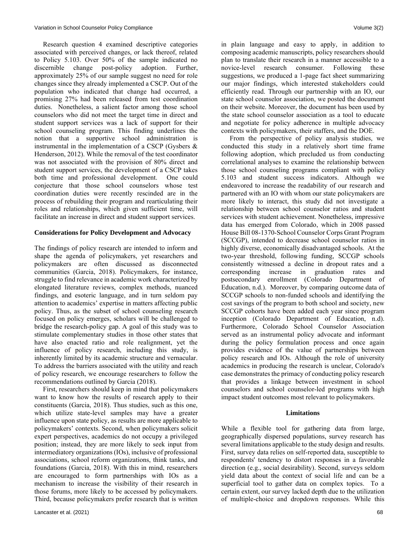Research question 4 examined descriptive categories associated with perceived changes, or lack thereof, related to Policy 5.103. Over 50% of the sample indicated no discernible change post-policy adoption. Further, approximately 25% of our sample suggest no need for role changes since they already implemented a CSCP. Out of the population who indicated that change had occurred, a promising 27% had been released from test coordination duties. Nonetheless, a salient factor among those school counselors who did not meet the target time in direct and student support services was a lack of support for their school counseling program. This finding underlines the notion that a supportive school administration is instrumental in the implementation of a CSCP (Gysbers & Henderson, 2012). While the removal of the test coordinator was not associated with the provision of 80% direct and student support services, the development of a CSCP takes both time and professional development. One could conjecture that those school counselors whose test coordination duties were recently rescinded are in the process of rebuilding their program and rearticulating their roles and relationships, which given sufficient time, will facilitate an increase in direct and student support services.

## **Considerations for Policy Development and Advocacy**

The findings of policy research are intended to inform and shape the agenda of policymakers, yet researchers and policymakers are often discussed as disconnected communities (Garcia, 2018). Policymakers, for instance, struggle to find relevance in academic work characterized by elongated literature reviews, complex methods, nuanced findings, and esoteric language, and in turn seldom pay attention to academics' expertise in matters affecting public policy. Thus, as the subset of school counseling research focused on policy emerges, scholars will be challenged to bridge the research-policy gap. A goal of this study was to stimulate complementary studies in those other states that have also enacted ratio and role realignment, yet the influence of policy research, including this study, is inherently limited by its academic structure and vernacular. To address the barriers associated with the utility and reach of policy research, we encourage researchers to follow the recommendations outlined by Garcia (2018).

 First, researchers should keep in mind that policymakers want to know how the results of research apply to their constituents (Garcia, 2018). Thus studies, such as this one, which utilize state-level samples may have a greater influence upon state policy, as results are more applicable to policymakers' contexts. Second, when policymakers solicit expert perspectives, academics do not occupy a privileged position; instead, they are more likely to seek input from intermediatory organizations (IOs), inclusive of professional associations, school reform organizations, think tanks, and foundations (Garcia, 2018). With this in mind, researchers are encouraged to form partnerships with IOs as a mechanism to increase the visibility of their research in those forums, more likely to be accessed by policymakers. Third, because policymakers prefer research that is written in plain language and easy to apply, in addition to composing academic manuscripts, policy researchers should plan to translate their research in a manner accessible to a novice-level research consumer. Following these suggestions, we produced a 1-page fact sheet summarizing our major findings, which interested stakeholders could efficiently read. Through our partnership with an IO, our state school counselor association, we posted the document on their website. Moreover, the document has been used by the state school counselor association as a tool to educate and negotiate for policy adherence in multiple advocacy contexts with policymakers, their staffers, and the DOE.

 From the perspective of policy analysis studies, we conducted this study in a relatively short time frame following adoption, which precluded us from conducting correlational analyses to examine the relationship between those school counseling programs compliant with policy 5.103 and student success indicators. Although we endeavored to increase the readability of our research and partnered with an IO with whom our state policymakers are more likely to interact, this study did not investigate a relationship between school counselor ratios and student services with student achievement. Nonetheless, impressive data has emerged from Colorado, which in 2008 passed House Bill 08-1370-School Counselor Corps Grant Program (SCCGP), intended to decrease school counselor ratios in highly diverse, economically disadvantaged schools. At the two-year threshold, following funding, SCCGP schools consistently witnessed a decline in dropout rates and a corresponding increase in graduation rates and postsecondary enrollment (Colorado Department of Education, n.d.). Moreover, by comparing outcome data of SCCGP schools to non-funded schools and identifying the cost savings of the program to both school and society, new SCCGP cohorts have been added each year since program inception (Colorado Department of Education, n.d). Furthermore, Colorado School Counselor Association served as an instrumental policy advocate and informant during the policy formulation process and once again provides evidence of the value of partnerships between policy research and IOs. Although the role of university academics in producing the research is unclear, Colorado's case demonstrates the primacy of conducting policy research that provides a linkage between investment in school counselors and school counselor-led programs with high impact student outcomes most relevant to policymakers.

## **Limitations**

While a flexible tool for gathering data from large, geographically dispersed populations, survey research has several limitations applicable to the study design and results. First, survey data relies on self-reported data, susceptible to respondents' tendency to distort responses in a favorable direction (e.g., social desirability). Second, surveys seldom yield data about the context of social life and can be a superficial tool to gather data on complex topics. To a certain extent, our survey lacked depth due to the utilization of multiple-choice and dropdown responses. While this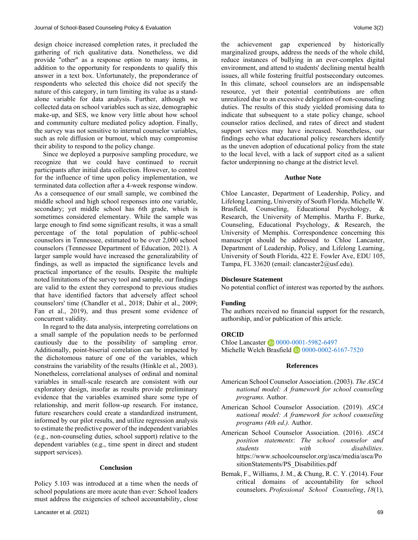design choice increased completion rates, it precluded the gathering of rich qualitative data. Nonetheless, we did provide "other" as a response option to many items, in addition to the opportunity for respondents to qualify this answer in a text box. Unfortunately, the preponderance of respondents who selected this choice did not specify the nature of this category, in turn limiting its value as a standalone variable for data analysis. Further, although we collected data on school variables such as size, demographic make-up, and SES, we know very little about how school and community culture mediated policy adoption. Finally, the survey was not sensitive to internal counselor variables, such as role diffusion or burnout, which may compromise their ability to respond to the policy change.

 Since we deployed a purposive sampling procedure, we recognize that we could have continued to recruit participants after initial data collection. However, to control for the influence of time upon policy implementation, we terminated data collection after a 4-week response window. As a consequence of our small sample, we combined the middle school and high school responses into one variable, secondary; yet middle school has 6th grade, which is sometimes considered elementary. While the sample was large enough to find some significant results, it was a small percentage of the total population of public-school counselors in Tennessee, estimated to be over 2,000 school counselors (Tennessee Department of Education, 2021). A larger sample would have increased the generalizability of findings, as well as impacted the significance levels and practical importance of the results. Despite the multiple noted limitations of the survey tool and sample, our findings are valid to the extent they correspond to previous studies that have identified factors that adversely affect school counselors' time (Chandler et al., 2018; Dahir et al., 2009; Fan et al., 2019), and thus present some evidence of concurrent validity.

 In regard to the data analysis, interpreting correlations on a small sample of the population needs to be performed cautiously due to the possibility of sampling error. Additionally, point-biserial correlation can be impacted by the dichotomous nature of one of the variables, which constrains the variability of the results (Hinkle et al., 2003). Nonetheless, correlational analyses of ordinal and nominal variables in small-scale research are consistent with our exploratory design, insofar as results provide preliminary evidence that the variables examined share some type of relationship, and merit follow-up research. For instance, future researchers could create a standardized instrument, informed by our pilot results, and utilize regression analysis to estimate the predictive power of the independent variables (e.g., non-counseling duties, school support) relative to the dependent variables (e.g., time spent in direct and student support services).

#### **Conclusion**

Policy 5.103 was introduced at a time when the needs of school populations are more acute than ever: School leaders must address the exigencies of school accountability, close the achievement gap experienced by historically marginalized groups, address the needs of the whole child, reduce instances of bullying in an ever-complex digital environment, and attend to students' declining mental health issues, all while fostering fruitful postsecondary outcomes. In this climate, school counselors are an indispensable resource, yet their potential contributions are often unrealized due to an excessive delegation of non-counseling duties. The results of this study yielded promising data to indicate that subsequent to a state policy change, school counselor ratios declined, and rates of direct and student support services may have increased. Nonetheless, our findings echo what educational policy researchers identify as the uneven adoption of educational policy from the state to the local level, with a lack of support cited as a salient factor underpinning no change at the district level.

#### **Author Note**

Chloe Lancaster, Department of Leadership, Policy, and Lifelong Learning, University of South Florida. Michelle W. Brasfield, Counseling, Educational Psychology, & Research, the University of Memphis. Martha F. Burke, Counseling, Educational Psychology, & Research, the University of Memphis. Correspondence concerning this manuscript should be addressed to Chloe Lancaster, Department of Leadership, Policy, and Lifelong Learning, University of South Florida, 422 E. Fowler Ave, EDU 105, Tampa, FL 33620 (email: [clancaster2@usf.edu\)](mailto:clancaster2@usf.edu).

#### **Disclosure Statement**

No potential conflict of interest was reported by the authors.

#### **Funding**

The authors received no financial support for the research, authorship, and/or publication of this article.

#### **ORCID**

Chloe Lancaster **1** [0000-0001-5982-6497](https://orcid.org/0000-0001-5982-6497) Michelle Welch Brasfield  $\Box$  [0000-0002-6167-7520](https://orcid.org/0000-0002-6167-7520)

#### **References**

- American School Counselor Association. (2003). *The ASCA national model: A framework for school counseling programs.* Author.
- American School Counselor Association. (2019). *ASCA national model: A framework for school counseling programs (4th ed.).* Author.
- American School Counselor Association. (2016). *ASCA position statements*: *The school counselor and students with disabilities*. [https://www.schoolcounselor.org/asca/media/asca/Po](https://www.schoolcounselor.org/asca/media/asca/PositionStatements/PS_Disabilities.pdf) [sitionStatements/PS\\_Disabilities.pdf](https://www.schoolcounselor.org/asca/media/asca/PositionStatements/PS_Disabilities.pdf)
- Bemak, F., Williams, J. M., & Chung, R. C. Y. (2014). Four critical domains of accountability for school counselors. *Professional School Counseling*, *18*(1),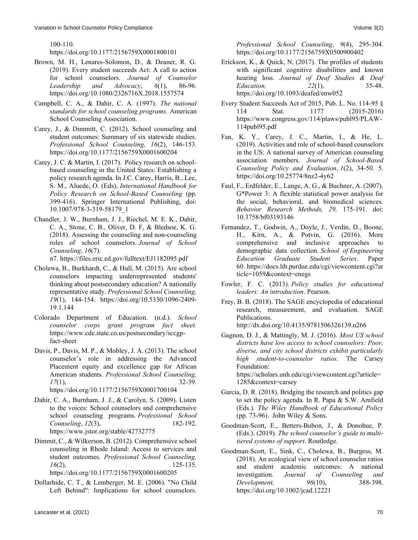100-110.

## <https://doi.org/10.1177/2156759X0001800101>

- Brown, M. H., Lenares-Solomon, D., & Deaner, R. G. (2019). Every student succeeds Act: A call to action for school counselors. *Journal of Counselor Leadership and Advocacy*, *6*(1), 86-96. <https://doi.org/10.1080/2326716X.2018.1557574>
- Campbell, C. A., & Dahir, C. A. (1997). *The national standards for school counseling programs.* American School Counseling Association.
- Carey, J., & Dimmitt, C. (2012). School counseling and student outcomes: Summary of six statewide studies. *Professional School Counseling, 16*(2), 146-153. [https://doi.org/10.1177/2156759X0001600204](https://doi.org/10.1177%2F2156759X0001600204)
- Carey, J. C. & Martin, I. (2017). Policy research on schoolbased counseling in the United States: Establishing a policy research agenda. In J.C. Carey, Harris, B., Lee, S. M., Aluede, O. (Eds), *International Handbook for Policy Research on School-Based Counseling* (pp. 399-416). Springer International Publishing, doi: 10.1007/978-3-319-58179\_1
- Chandler, J. W., Burnham, J. J., Riechel, M. E. K., Dahir, C. A., Stone, C. B., Oliver, D. F, & Bledsoe, K. G. (2018). Assessing the counseling and non-counseling roles of school counselors. *Journal of School Counseling*, *16*(7).

n7. https://files.eric.ed.gov/fulltext/EJ1182095.pdf

- Cholewa, B., Burkhardt, C., & Hull, M. (2015). Are school counselors impacting underrepresented students' thinking about postsecondary education? A nationally representative study. *Professional School Counseling, 19*(1), 144-154. [https://doi.org/10.5330/1096-2409-](https://doi.org/10.5330%2F1096-2409-19.1.144) [19.1.144](https://doi.org/10.5330%2F1096-2409-19.1.144)
- Colorado Department of Education. (n.d.). *School counselor corps grant program fact sheet.* https://www.cde.state.co.us/postsecondary/sccgpfact-sheet
- Davis, P., Davis, M. P., & Mobley, J. A. (2013). The school counselor's role in addressing the Advanced Placement equity and excellence gap for African American students. *Professional School Counseling, 17*(1), 32-39. [https://doi.org/10.1177/2156759X0001700104](https://doi.org/10.1177%2F2156759X0001700104)
- Dahir, C. A., Burnham, J. J., & Carolyn, S. (2009). Listen to the voices: School counselors and comprehensive school counseling programs. *Professional School Counseling*, *12*(3), 182-192. <https://www.jstor.org/stable/42732775>
- Dimmit, C., & Wilkerson, B. (2012). Comprehensive school counseling in Rhode Island: Access to services and student outcomes. *Professional School Counseling, 16*(2), 125-135.

[https://doi.org/10.1177/2156759X0001600205](https://doi.org/10.1177%2F2156759X0001600205)

Dollarhide, C. T., & Lemberger, M. E. (2006). "No Child Left Behind": Implications for school counselors. *Professional School Counseling*, *9*(4), 295-304. https://doi.org/10.1177/2156759X0500900402

- Erickson, K., & Quick, N. (2017). The profiles of students with significant cognitive disabilities and known hearing loss. *Journal of Deaf Studies & Deaf Education, 22*(1), 35-48. <https://doi.org/10.1093/deafed/enw052>
- Every Student Succeeds Act of 2015, Pub. L. No. 114-95 § 114 Stat. 1177 (2015-2016) [https://www.congress.gov/114/plaws/publ95/PLAW-](https://www.congress.gov/114/plaws/publ95/PLAW-114publ95.pdf)[114publ95.pdf](https://www.congress.gov/114/plaws/publ95/PLAW-114publ95.pdf)
- Fan, K. Y., Carey, J. C., Martin, I., & He, L. (2019). Activities and role of school-based counselors in the US: A national survey of American counseling association members. *Journal of School-Based Counseling Policy and Evaluation*, *1*(2), 34-50. 5. <https://doi.org/10.25774/8nz2-4y62>
- Faul, F., Erdfelder, E., Lange, A. G., & Buchner, A. (2007). G\*Power 3: A flexible statistical power analysis for the social, behavioral, and biomedical sciences. *Behavior Research Methods, 29,* 175-191. doi: 10.3758/bf03193146
- Fernandez, T., Godwin, A., Doyle, J., Verdin, D., Boone, H., Kirn, A., & Potvin, G. (2016). More comprehensive and inclusive approaches to demographic data collection. *School of Engineering Education Graduate Student Series*. Paper 60. https://docs.lib.purdue.edu/cgi/viewcontent.cgi?ar ticle=1059&context=enegs
- Fowler, F. C. (2013). *Policy studies for educational leaders: An introduction*. Pearson.
- Frey, B. B. (2018). The SAGE encyclopedia of educational research, measurement, and evaluation. SAGE Publications. http://dx.doi.org/10.4135/9781506326139.n266
- Gagnon, D. J., & Mattingly, M. J. (2016). *Most US school districts have low access to school counselors: Poor, diverse, and city school districts exhibit particularly high student-to-counselor ratios*. The Carsey Foundation:

[https://scholars.unh.edu/cgi/viewcontent.cgi?article=](https://scholars.unh.edu/cgi/viewcontent.cgi?article=1285&context=carsey) [1285&context=carsey](https://scholars.unh.edu/cgi/viewcontent.cgi?article=1285&context=carsey)

- Garcia, D. R. (2018). Bridging the research and politics gap to set the policy agenda. In R. Papa & S.W. Amfield (Eds.). *The Wiley Handbook of Educational Policy*  (pp. 73-96). John Wiley & Sons.
- Goodman-Scott, E., Betters-Bubon, J., & Donohue, P. (Eds.). (2019). *The school counselor's guide to multitiered systems of support*. Routledge.
- Goodman-Scott, E., Sink, C., Cholewa, B., Burgess, M. (2018). An ecological view of school counselor ratios and student academic outcomes: A national investigation. Journal of Counseling and investigation. *Journal of Counseling and Development, 96*(10), 388-398. <https://doi.org/10.1002/jcad.12221>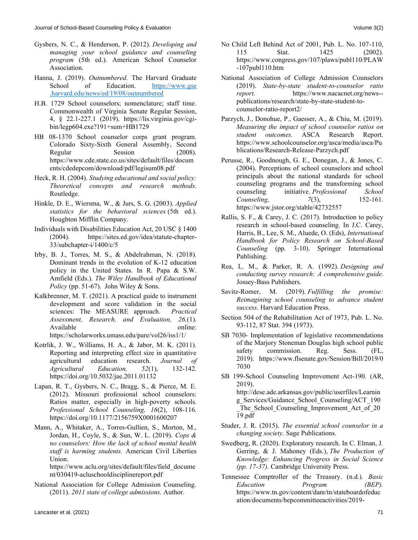- Gysbers, N. C., & Henderson, P. (2012). *Developing and managing your school guidance and counseling program* (5th ed.). American School Counselor Association.
- Hanna, J. (2019). *Outnumbered.* The Harvard Graduate School of Education. https://www.gse .harvard.edu/news/ed/19/08/outnumbered
- H.B. 1729 School counselors; nomenclature; staff time. Commonwealth of Virginia Senate Regular Session, 4, § 22.1-227.1 (2019). [https://lis.virginia.gov/cgi](https://lis.virginia.gov/cgi-bin/legp604.exe?191+sum+HB1729)[bin/legp604.exe?191+sum+HB1729](https://lis.virginia.gov/cgi-bin/legp604.exe?191+sum+HB1729)
- HB 08-1370 School counselor corps grant program. Colorado Sixty-Sixth General Assembly, Second Regular Session (2008). https://www.cde.state.co.us/sites/default/files/docum ents/cdedepcom/download/pdf/legisum08.pdf
- Heck, R. H. (2004). *Studying educational and social policy: Theoretical concepts and research methods*. Routledge.
- Hinkle, D. E., Wiersma, W., & Jurs, S. G. (2003). *Applied statistics for the behavioral sciences* (5th ed.). Houghton Mifflin Company.
- Individuals with Disabilities Education Act, 20 USC § 1400 (2004). [https://sites.ed.gov/idea/statute-chapter-](https://sites.ed.gov/idea/statute-chapter-33/subchapter-i/1400/c/5)[33/subchapter-i/1400/c/5](https://sites.ed.gov/idea/statute-chapter-33/subchapter-i/1400/c/5)
- Irby, B. J., Torres, M. S., & Abdelrahman, N. (2018). Dominant trends in the evolution of K-12 education policy in the United States. In R. Papa & S.W. Amfield (Eds.). *The Wiley Handbook of Educational Policy* (pp. 51-67). John Wiley & Sons.
- Kalkbrenner, M. T. (2021). A practical guide to instrument development and score validation in the social sciences: The MEASURE approach. *Practical Assessment, Research, and Evaluation, 26,*(1). Available online: https://scholarworks.umass.edu/pare/vol26/iss1/1/
- Kotrlik, J. W., Williams, H. A., & Jabor, M. K. (2011). Reporting and interpreting effect size in quantitative agricultural education research. *Journal of Agricultural Education, 52*(1), 132-142. <https://doi.org/10.5032/jae.2011.01132>
- Lapan, R. T., Gysbers, N. C., Bragg, S., & Pierce, M. E. (2012). Missouri professional school counselors: Ratios matter, especially in high-poverty schools. *Professional School Counseling, 16*(2), 108-116. [https://doi.org/10.1177/2156759X0001600207](https://doi.org/10.1177%2F2156759X0001600207)
- Mann, A., Whitaker, A., Torres-Gullien, S., Morton, M., Jordan, H., Coyle, S., & Sun, W. L. (2019). *Cops & no counselors: How the lack of school mental health staff is harming students.* American Civil Liberties Union.

[https://www.aclu.org/sites/default/files/field\\_docume](https://www.aclu.org/sites/default/files/field_document/030419-acluschooldisciplinereport.pdf) [nt/030419-acluschooldisciplinereport.pdf](https://www.aclu.org/sites/default/files/field_document/030419-acluschooldisciplinereport.pdf)

National Association for College Admission Counseling. (2011). *2011 state of college admissions*. Author.

- No Child Left Behind Act of 2001, Pub. L. No. 107-110, 115 Stat. 1425 (2002). [https://www.congress.gov/107/plaws/publ110/PLAW](https://www.congress.gov/107/plaws/publ110/PLAW-107publ110.htm) [-107publ110.htm](https://www.congress.gov/107/plaws/publ110/PLAW-107publ110.htm)
- National Association of College Admission Counselors (2019). *State-by-state student-to-counselor ratio report.* [https://www.nacacnet.org/news-](https://www.nacacnet.org/news--publications/research/state-by-state-student-to-counselor-ratio-report2/) [publications/research/state-by-state-student-to](https://www.nacacnet.org/news--publications/research/state-by-state-student-to-counselor-ratio-report2/)[counselor-ratio-report2/](https://www.nacacnet.org/news--publications/research/state-by-state-student-to-counselor-ratio-report2/)
- Parzych, J., Donohue, P., Gaesser, A., & Chiu, M. (2019). *Measuring the impact of school counselor ratios on student outcomes.* ASCA Research Report. [https://www.schoolcounselor.org/asca/media/asca/Pu](https://www.schoolcounselor.org/asca/media/asca/Publications/Research-Release-Parzych.pdf) [blications/Research-Release-Parzych.pdf](https://www.schoolcounselor.org/asca/media/asca/Publications/Research-Release-Parzych.pdf)
- Perusse, R., Goodnough, G. E., Donegan, J., & Jones, C. (2004). Perceptions of school counselors and school principals about the national standards for school counseling programs and the transforming school counseling initiative. *Professional School Counseling, 7*(3), 152-161. <https://www.jstor.org/stable/42732557>
- Rallis, S. F., & Carey, J. C. (2017). Introduction to policy research in school-based counseling. In J.C. Carey, Harris, B., Lee, S. M., Aluede, O. (Eds), *International Handbook for Policy Research on School-Based Counseling* (pp. 3-10). Springer International Publishing.
- Rea, L. M., & Parker, R. A. (1992). *Designing and conducting survey research: A comprehensive guide*. Jossey-Bass Publishers.
- Savitz-Romer, M. (2019). *Fulfilling the promise: Reimagining school counseling to advance student success*. Harvard Education Press.
- Section 504 of the [Rehabilitation Act of 1973,](https://en.wikipedia.org/wiki/Rehabilitation_Act_of_1973) Pub. L. No. 93-112, 87 Stat. 394 (1973).
- SB 7030- Implementation of legislative recommendations of the Marjory Stoneman Douglas high school public safety commission. Reg. Sess. (FL, 2019). [https://www.flsenate.gov/Session/Bill/2019/0](https://www.flsenate.gov/Session/Bill/2019/07030) [7030](https://www.flsenate.gov/Session/Bill/2019/07030)
- SB 199-School Counseling Improvement Act-190. (AR, 2019). [http://dese.ade.arkansas.gov/public/userfiles/Learnin](http://dese.ade.arkansas.gov/public/userfiles/Learning_Services/Guidance_School_Counseling/ACT_190_The_School_Counseling_Improvement_Act_of_2019.pdf) [g\\_Services/Guidance\\_School\\_Counseling/ACT\\_190](http://dese.ade.arkansas.gov/public/userfiles/Learning_Services/Guidance_School_Counseling/ACT_190_The_School_Counseling_Improvement_Act_of_2019.pdf) The School Counseling Improvement Act of 20
- Studer, J. R. (2015). *The essential school counselor in a changing society.* Sage Publications.

[19.pdf](http://dese.ade.arkansas.gov/public/userfiles/Learning_Services/Guidance_School_Counseling/ACT_190_The_School_Counseling_Improvement_Act_of_2019.pdf)

- Swedberg, R. (2020). Exploratory research. In C. Elman, J. Gerring, & J. Mahoney (Eds.), *The Production of Knowledge: Enhancing Progress in Social Science (pp. 17-37)*. Cambridge University Press.
- Tennessee Comptroller of the Treasury. (n.d.). *Basic Education Program (BEP).*  [https://www.tn.gov/content/dam/tn/stateboardofeduc](https://www.tn.gov/content/dam/tn/stateboardofeducation/documents/bepcommitteeactivities/2019-bep/BEPHandbook%20revised%20September%202018.pdf) [ation/documents/bepcommitteeactivities/2019-](https://www.tn.gov/content/dam/tn/stateboardofeducation/documents/bepcommitteeactivities/2019-bep/BEPHandbook%20revised%20September%202018.pdf)